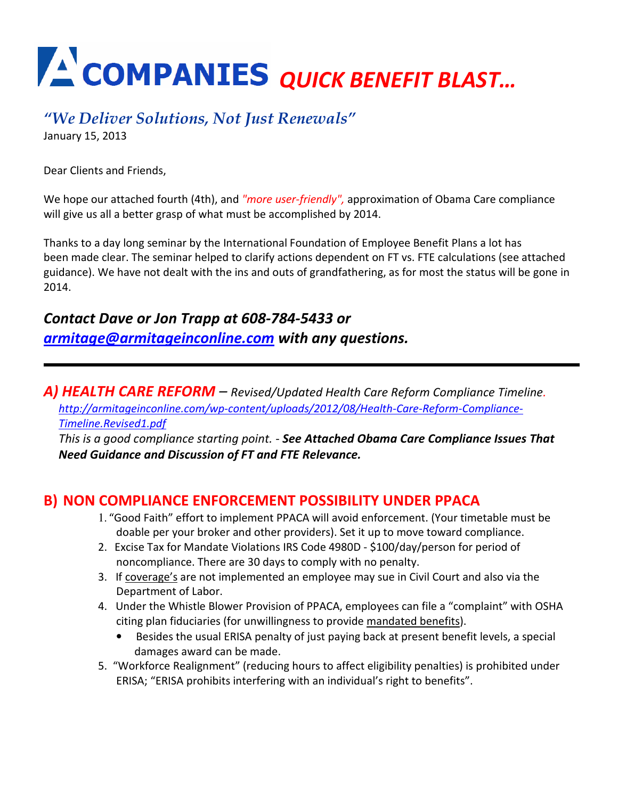# QUICK BENEFIT BLAST…

## "We Deliver Solutions, Not Just Renewals"

January 15, 2013

Dear Clients and Friends,

We hope our attached fourth (4th), and "more user-friendly", approximation of Obama Care compliance will give us all a better grasp of what must be accomplished by 2014.

Thanks to a day long seminar by the International Foundation of Employee Benefit Plans a lot has been made clear. The seminar helped to clarify actions dependent on FT vs. FTE calculations (see attached guidance). We have not dealt with the ins and outs of grandfathering, as for most the status will be gone in 2014.

#### Contact Dave or Jon Trapp at 608-784-5433 or armitage@armitageinconline.com with any questions.

A) HEALTH CARE REFORM – Revised/Updated Health Care Reform Compliance Timeline. http://armitageinconline.com/wp-content/uploads/2012/08/Health-Care-Reform-Compliance-Timeline.Revised1.pdf

This is a good compliance starting point. - See Attached Obama Care Compliance Issues That Need Guidance and Discussion of FT and FTE Relevance.

#### B)NON COMPLIANCE ENFORCEMENT POSSIBILITY UNDER PPACA

- 1. "Good Faith" effort to implement PPACA will avoid enforcement. (Your timetable must be doable per your broker and other providers). Set it up to move toward compliance.
- 2. Excise Tax for Mandate Violations IRS Code 4980D \$100/day/person for period of noncompliance. There are 30 days to comply with no penalty.
- 3. If coverage's are not implemented an employee may sue in Civil Court and also via the Department of Labor.
- 4. Under the Whistle Blower Provision of PPACA, employees can file a "complaint" with OSHA citing plan fiduciaries (for unwillingness to provide mandated benefits).
	- Besides the usual ERISA penalty of just paying back at present benefit levels, a special damages award can be made.
- 5. "Workforce Realignment" (reducing hours to affect eligibility penalties) is prohibited under ERISA; "ERISA prohibits interfering with an individual's right to benefits".